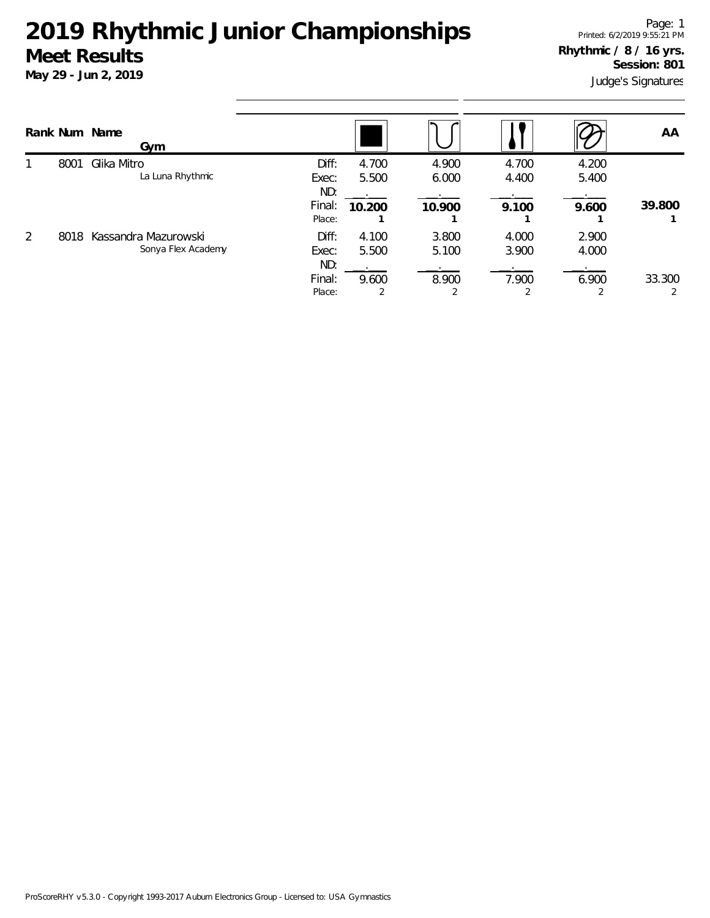|                |      | Rank Num Name<br>Gym                       |                       |                         |                |                |                | AA     |
|----------------|------|--------------------------------------------|-----------------------|-------------------------|----------------|----------------|----------------|--------|
|                | 8001 | Glika Mitro<br>La Luna Rhythmic            | Diff:<br>Exec:<br>ND: | 4.700<br>5.500          | 4.900<br>6.000 | 4.700<br>4.400 | 4.200<br>5.400 |        |
|                |      |                                            | Final:<br>Place:      | 10.200                  | 10.900         | 9.100          | 9.600          | 39.800 |
| $\overline{2}$ | 8018 | Kassandra Mazurowski<br>Sonya Flex Academy | Diff:<br>Exec:<br>ND: | 4.100<br>5.500          | 3.800<br>5.100 | 4.000<br>3.900 | 2.900<br>4.000 |        |
|                |      |                                            | Final:<br>Place:      | 9.600<br>$\overline{2}$ | 8.900          | 7.900          | 6.900          | 33.300 |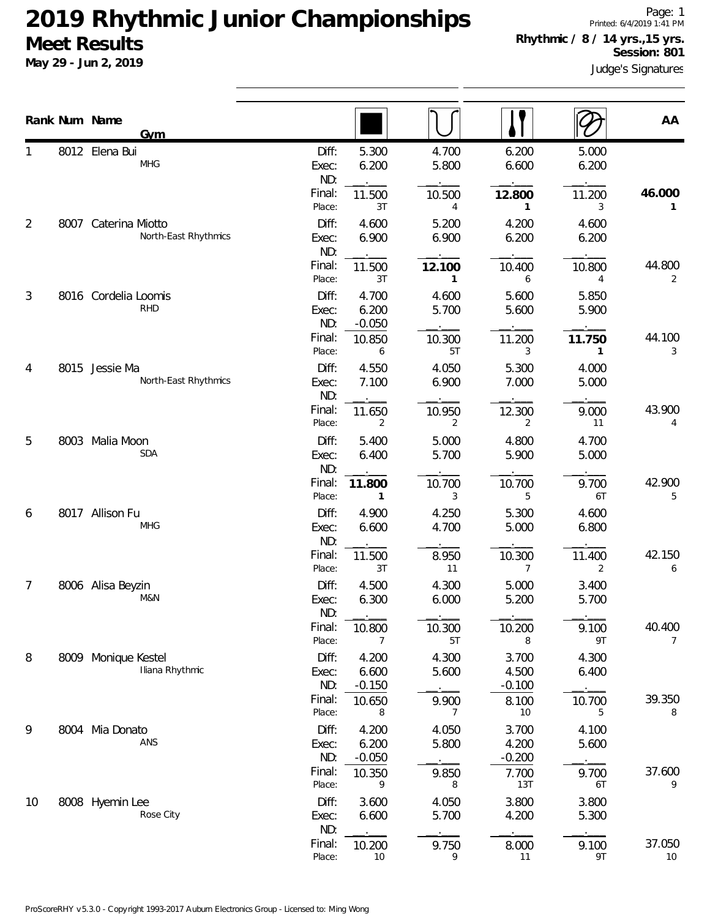**May 29 - Jun 2, 2019**

|                | Rank Num Name        | <b>Gym</b>           |                       |                            |                        |                            |                | AA                       |
|----------------|----------------------|----------------------|-----------------------|----------------------------|------------------------|----------------------------|----------------|--------------------------|
|                | 8012 Elena Bui       | <b>MHG</b>           | Diff:<br>Exec:<br>ND: | 5.300<br>6.200             | 4.700<br>5.800         | 6.200<br>6.600             | 5.000<br>6.200 |                          |
|                |                      |                      | Final:<br>Place:      | 11.500<br>3T               | 10.500<br>4            | 12.800<br>1                | 11.200<br>3    | 46.000<br>1              |
| $\overline{2}$ | 8007 Caterina Miotto | North-East Rhythmics | Diff:<br>Exec:<br>ND: | 4.600<br>6.900             | 5.200<br>6.900         | 4.200<br>6.200             | 4.600<br>6.200 |                          |
|                |                      |                      | Final:<br>Place:      | 11.500<br>3T               | 12.100<br>$\mathbf{1}$ | 10.400<br>6                | 10.800<br>4    | 44.800<br>2              |
| 3              | 8016 Cordelia Loomis | <b>RHD</b>           | Diff:<br>Exec:<br>ND: | 4.700<br>6.200<br>$-0.050$ | 4.600<br>5.700         | 5.600<br>5.600             | 5.850<br>5.900 |                          |
|                |                      |                      | Final:<br>Place:      | 10.850<br>6                | 10.300<br>5T           | 11.200<br>3                | 11.750<br>1    | 44.100<br>3              |
| 4              | 8015 Jessie Ma       | North-East Rhythmics | Diff:<br>Exec:<br>ND: | 4.550<br>7.100             | 4.050<br>6.900         | 5.300<br>7.000             | 4.000<br>5.000 |                          |
|                |                      |                      | Final:<br>Place:      | 11.650<br>2                | 10.950<br>2            | 12.300<br>2                | 9.000<br>11    | 43.900<br>4              |
| 5              | 8003 Malia Moon      | <b>SDA</b>           | Diff:<br>Exec:<br>ND: | 5.400<br>6.400             | 5.000<br>5.700         | 4.800<br>5.900             | 4.700<br>5.000 |                          |
|                |                      |                      | Final:<br>Place:      | 11.800<br>1                | 10.700<br>3            | 10.700<br>5                | 9.700<br>6T    | 42.900<br>5              |
| 6              | 8017 Allison Fu      | <b>MHG</b>           | Diff:<br>Exec:<br>ND: | 4.900<br>6.600             | 4.250<br>4.700         | 5.300<br>5.000             | 4.600<br>6.800 |                          |
|                |                      |                      | Final:<br>Place:      | 11.500<br>3T               | 8.950<br>11            | 10.300<br>$\overline{7}$   | 11.400<br>2    | 42.150<br>6              |
| $\overline{7}$ | 8006 Alisa Beyzin    | M&N                  | Diff:<br>Exec:<br>ND: | 4.500<br>6.300             | 4.300<br>6.000         | 5.000<br>5.200             | 3.400<br>5.700 |                          |
|                |                      |                      | Final:<br>Place:      | 10.800<br>7                | 10.300<br>5T           | 10.200<br>8                | 9.100<br>9T    | 40.400<br>$\overline{7}$ |
| 8              | 8009 Monique Kestel  | Iliana Rhythmic      | Diff:<br>Exec:<br>ND: | 4.200<br>6.600<br>$-0.150$ | 4.300<br>5.600         | 3.700<br>4.500<br>$-0.100$ | 4.300<br>6.400 |                          |
|                |                      |                      | Final:<br>Place:      | 10.650<br>8                | 9.900<br>7             | 8.100<br>10                | 10.700<br>5    | 39.350<br>8              |
| 9              | 8004 Mia Donato      | ANS                  | Diff:<br>Exec:<br>ND: | 4.200<br>6.200<br>$-0.050$ | 4.050<br>5.800         | 3.700<br>4.200<br>$-0.200$ | 4.100<br>5.600 |                          |
|                |                      |                      | Final:<br>Place:      | 10.350<br>9                | 9.850<br>8             | 7.700<br>13T               | 9.700<br>6T    | 37.600<br>9              |
| 10             | 8008 Hyemin Lee      | Rose City            | Diff:<br>Exec:<br>ND: | 3.600<br>6.600             | 4.050<br>5.700         | 3.800<br>4.200             | 3.800<br>5.300 |                          |
|                |                      |                      | Final:                | 10.200                     | 9.750                  | 8.000                      | 9.100          | 37.050                   |

Place: 10 9 11 9T 10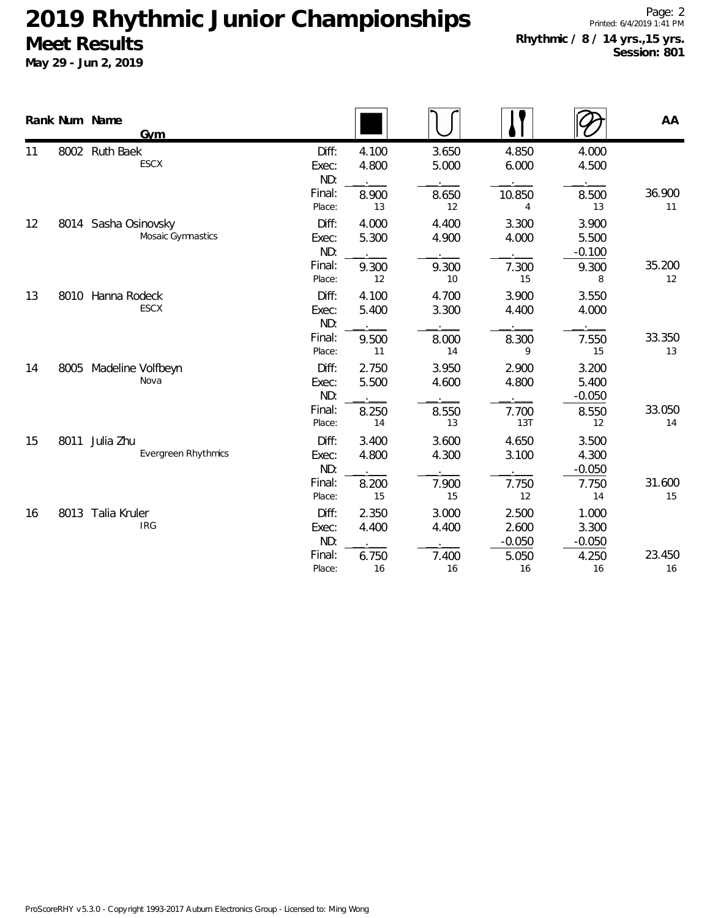|    |      | Rank Num Name<br>Gym                      |                       |                |                |                            |                            | AA           |
|----|------|-------------------------------------------|-----------------------|----------------|----------------|----------------------------|----------------------------|--------------|
| 11 |      | 8002 Ruth Baek<br>ESCX                    | Diff:<br>Exec:<br>ND: | 4.100<br>4.800 | 3.650<br>5.000 | 4.850<br>6.000             | 4.000<br>4.500             |              |
|    |      |                                           | Final:<br>Place:      | 8.900<br>13    | 8.650<br>12    | 10.850<br>4                | 8.500<br>13                | 36.900<br>11 |
| 12 |      | 8014 Sasha Osinovsky<br>Mosaic Gymnastics | Diff:<br>Exec:<br>ND: | 4.000<br>5.300 | 4.400<br>4.900 | 3.300<br>4.000             | 3.900<br>5.500<br>$-0.100$ |              |
|    |      |                                           | Final:<br>Place:      | 9.300<br>12    | 9.300<br>10    | 7.300<br>15                | 9.300<br>8                 | 35.200<br>12 |
| 13 | 8010 | Hanna Rodeck<br>ESCX                      | Diff:<br>Exec:<br>ND: | 4.100<br>5.400 | 4.700<br>3.300 | 3.900<br>4.400             | 3.550<br>4.000             |              |
|    |      |                                           | Final:<br>Place:      | 9.500<br>11    | 8.000<br>14    | 8.300<br>9                 | 7.550<br>15                | 33.350<br>13 |
| 14 | 8005 | Madeline Volfbeyn<br>Nova                 | Diff:<br>Exec:<br>ND: | 2.750<br>5.500 | 3.950<br>4.600 | 2.900<br>4.800             | 3.200<br>5.400<br>$-0.050$ |              |
|    |      |                                           | Final:<br>Place:      | 8.250<br>14    | 8.550<br>13    | 7.700<br>13T               | 8.550<br>12                | 33.050<br>14 |
| 15 | 8011 | Julia Zhu<br><b>Evergreen Rhythmics</b>   | Diff:<br>Exec:<br>ND: | 3.400<br>4.800 | 3.600<br>4.300 | 4.650<br>3.100             | 3.500<br>4.300<br>$-0.050$ |              |
|    |      |                                           | Final:<br>Place:      | 8.200<br>15    | 7.900<br>15    | 7.750<br>12                | 7.750<br>14                | 31.600<br>15 |
| 16 |      | 8013 Talia Kruler<br><b>IRG</b>           | Diff:<br>Exec:<br>ND: | 2.350<br>4.400 | 3.000<br>4.400 | 2.500<br>2.600<br>$-0.050$ | 1.000<br>3.300<br>$-0.050$ |              |
|    |      |                                           | Final:<br>Place:      | 6.750<br>16    | 7.400<br>16    | 5.050<br>16                | 4.250<br>16                | 23.450<br>16 |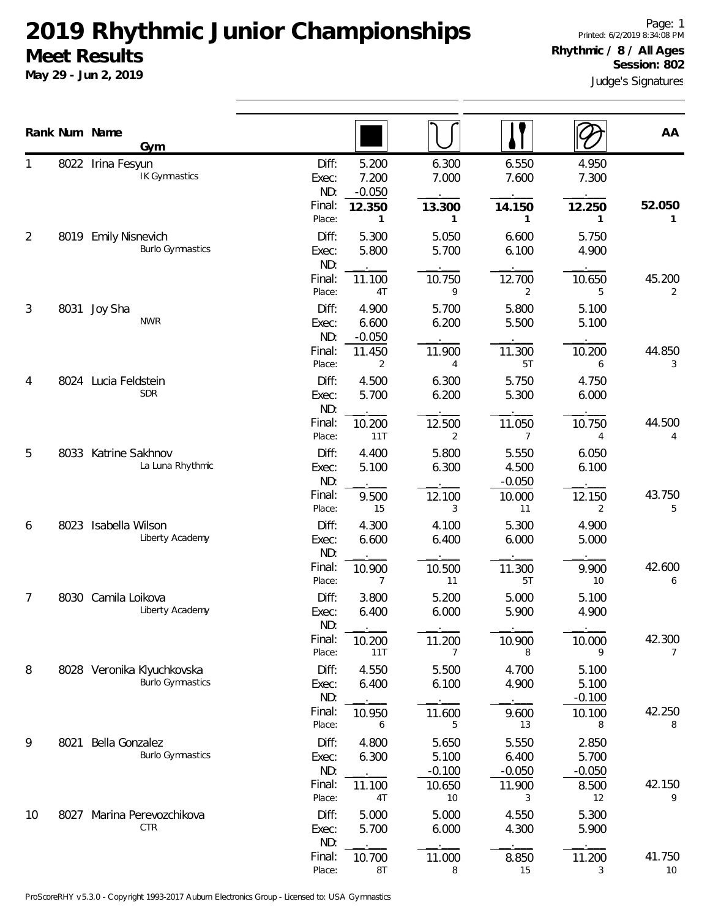|    |      | Rank Num Name<br>Gym                                  |                       |                            |                            |                            |                            | AA                       |
|----|------|-------------------------------------------------------|-----------------------|----------------------------|----------------------------|----------------------------|----------------------------|--------------------------|
|    |      | 8022 Irina Fesyun<br>IK Gymnastics                    | Diff:<br>Exec:<br>ND: | 5.200<br>7.200<br>$-0.050$ | 6.300<br>7.000             | 6.550<br>7.600             | 4.950<br>7.300             |                          |
|    |      |                                                       | Final:<br>Place:      | 12.350<br>$\mathbf{1}$     | 13.300<br>1                | 14.150<br>1                | 12.250<br>1                | 52.050<br>1              |
| 2  |      | 8019 Emily Nisnevich<br><b>Burlo Gymnastics</b>       | Diff:<br>Exec:<br>ND: | 5.300<br>5.800             | 5.050<br>5.700             | 6.600<br>6.100             | 5.750<br>4.900             |                          |
|    |      |                                                       | Final:<br>Place:      | 11.100<br>4T               | 10.750<br>9                | 12.700<br>2                | 10.650<br>5                | 45.200<br>2              |
| 3  |      | 8031 Joy Sha<br><b>NWR</b>                            | Diff:<br>Exec:<br>ND: | 4.900<br>6.600<br>$-0.050$ | 5.700<br>6.200             | 5.800<br>5.500             | 5.100<br>5.100             |                          |
|    |      |                                                       | Final:<br>Place:      | 11.450<br>$\overline{2}$   | 11.900<br>$\overline{4}$   | 11.300<br>5T               | 10.200<br>6                | 44.850<br>3              |
| 4  |      | 8024 Lucia Feldstein<br><b>SDR</b>                    | Diff:<br>Exec:<br>ND: | 4.500<br>5.700             | 6.300<br>6.200             | 5.750<br>5.300             | 4.750<br>6.000             |                          |
|    |      |                                                       | Final:<br>Place:      | 10.200<br>11T              | 12.500<br>2                | 11.050<br>7                | 10.750<br>4                | 44.500<br>4              |
| 5  | 8033 | Katrine Sakhnov<br>La Luna Rhythmic                   | Diff:<br>Exec:<br>ND: | 4.400<br>5.100             | 5.800<br>6.300             | 5.550<br>4.500<br>$-0.050$ | 6.050<br>6.100             |                          |
|    |      |                                                       | Final:<br>Place:      | 9.500<br>15                | 12.100<br>3                | 10.000<br>11               | 12.150<br>2                | 43.750<br>5              |
| 6  |      | 8023 Isabella Wilson<br>Liberty Academy               | Diff:<br>Exec:<br>ND: | 4.300<br>6.600             | 4.100<br>6.400             | 5.300<br>6.000             | 4.900<br>5.000             |                          |
|    |      |                                                       | Final:<br>Place:      | 10.900<br>7                | 10.500<br>11               | 11.300<br>5T               | 9.900<br>10                | 42.600<br>6              |
| 7  |      | 8030 Camila Loikova<br>Liberty Academy                | Diff:<br>Exec:<br>ND: | 3.800<br>6.400             | 5.200<br>6.000             | 5.000<br>5.900             | 5.100<br>4.900             |                          |
|    |      |                                                       | Final:<br>Place:      | 10.200<br>11T              | 11.200<br>$\overline{7}$   | 10.900<br>8                | 10.000<br>9                | 42.300<br>$\overline{7}$ |
| 8  |      | 8028 Veronika Klyuchkovska<br><b>Burlo Gymnastics</b> | Diff:<br>Exec:<br>ND: | 4.550<br>6.400             | 5.500<br>6.100             | 4.700<br>4.900             | 5.100<br>5.100<br>$-0.100$ |                          |
|    |      |                                                       | Final:<br>Place:      | 10.950<br>6                | 11.600<br>5                | 9.600<br>13                | 10.100<br>8                | 42.250<br>8              |
| 9  | 8021 | Bella Gonzalez<br><b>Burlo Gymnastics</b>             | Diff:<br>Exec:<br>ND: | 4.800<br>6.300             | 5.650<br>5.100<br>$-0.100$ | 5.550<br>6.400<br>$-0.050$ | 2.850<br>5.700<br>$-0.050$ |                          |
|    |      |                                                       | Final:<br>Place:      | 11.100<br>4T               | 10.650<br>10               | 11.900<br>3                | 8.500<br>12                | 42.150<br>9              |
| 10 | 8027 | Marina Perevozchikova<br>CTR                          | Diff:<br>Exec:<br>ND: | 5.000<br>5.700             | 5.000<br>6.000             | 4.550<br>4.300             | 5.300<br>5.900             |                          |
|    |      |                                                       | Final:<br>Place:      | 10.700<br>8T               | 11.000<br>8                | 8.850<br>15                | 11.200<br>3                | 41.750<br>10             |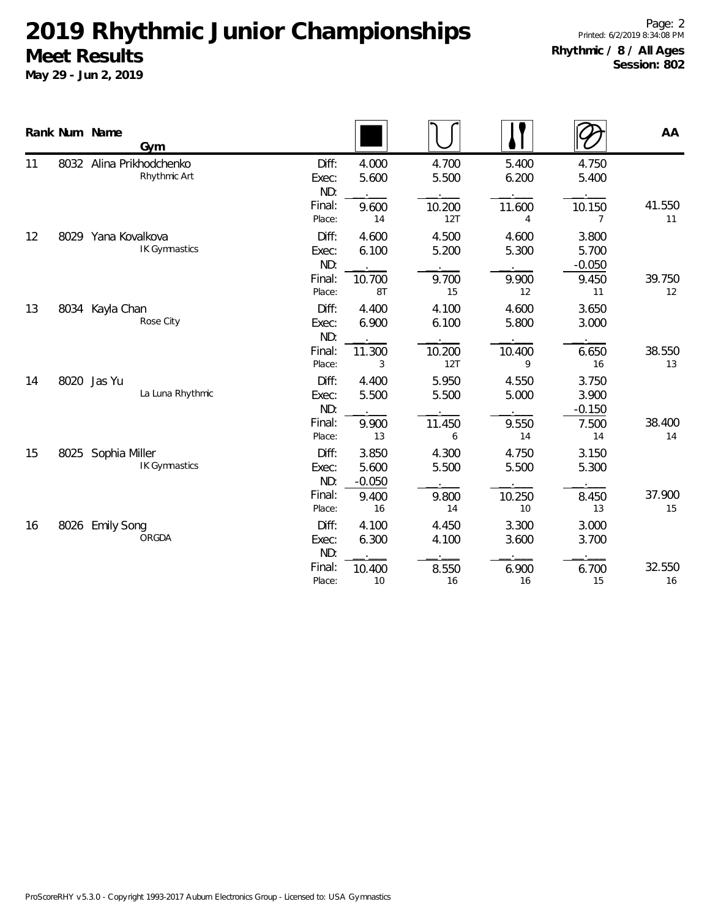|    | Rank Num Name<br>Gym                       |                                           |                                                                  |                               |                                     | AA           |
|----|--------------------------------------------|-------------------------------------------|------------------------------------------------------------------|-------------------------------|-------------------------------------|--------------|
| 11 | 8032 Alina Prikhodchenko<br>Rhythmic Art   | Diff:<br>Exec:<br>ND:<br>Final:           | 4.000<br>4.700<br>5.600<br>5.500<br>9.600<br>10.200              | 5.400<br>6.200<br>11.600      | 4.750<br>5.400<br>10.150            | 41.550       |
| 12 | 8029 Yana Kovalkova<br>IK Gymnastics       | Place:<br>Diff:<br>Exec:<br>ND:           | 12T<br>14<br>4.500<br>4.600<br>5.200<br>6.100                    | 4<br>4.600<br>5.300           | 7<br>3.800<br>5.700<br>$-0.050$     | 11           |
|    |                                            | Final:<br>Place:                          | 9.700<br>10.700<br>15<br>8T                                      | 9.900<br>12                   | 9.450<br>11                         | 39.750<br>12 |
| 13 | 8034 Kayla Chan<br>Rose City               | Diff:<br>Exec:<br>ND:<br>Final:<br>Place: | 4.400<br>4.100<br>6.100<br>6.900<br>10.200<br>11.300<br>12T<br>3 | 4.600<br>5.800<br>10.400<br>9 | 3.650<br>3.000<br>6.650<br>16       | 38.550<br>13 |
| 14 | 8020 Jas Yu<br>La Luna Rhythmic            | Diff:<br>Exec:<br>ND:<br>Final:           | 5.950<br>4.400<br>5.500<br>5.500<br>11.450<br>9.900              | 4.550<br>5.000<br>9.550       | 3.750<br>3.900<br>$-0.150$<br>7.500 | 38.400       |
| 15 | 8025 Sophia Miller<br><b>IK Gymnastics</b> | Place:<br>Diff:<br>Exec:<br>ND:           | 13<br>6<br>3.850<br>4.300<br>5.600<br>5.500<br>$-0.050$          | 14<br>4.750<br>5.500          | 14<br>3.150<br>5.300                | 14           |
|    |                                            | Final:<br>Place:                          | 9.400<br>9.800<br>16<br>14                                       | 10.250<br>10                  | 8.450<br>13                         | 37.900<br>15 |
| 16 | 8026 Emily Song<br>ORGDA                   | Diff:<br>Exec:<br>ND:                     | 4.100<br>4.450<br>6.300<br>4.100                                 | 3.300<br>3.600                | 3.000<br>3.700                      |              |
|    |                                            | Final:<br>Place:                          | 8.550<br>10.400<br>16<br>10                                      | 6.900<br>16                   | 6.700<br>15                         | 32.550<br>16 |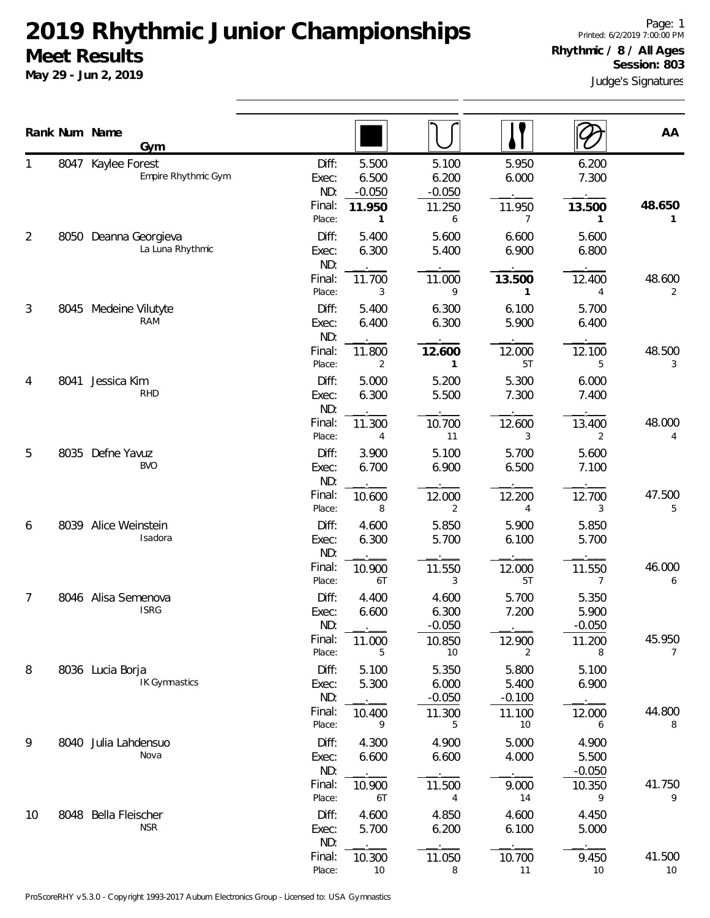**May 29 - Jun 2, 2019**

Judge's Signatures Page: 1 Printed: 6/2/2019 7:00:00 PM **Rhythmic / 8 / All Ages Session: 803**

|                | Rank Num Name | Gym                                  |                                           |                                              |                            |                                      | AA           |
|----------------|---------------|--------------------------------------|-------------------------------------------|----------------------------------------------|----------------------------|--------------------------------------|--------------|
|                | 8047          | Kaylee Forest<br>Empire Rhythmic Gym | Diff:<br>Exec:<br>ND:<br>$-0.050$         | 5.500<br>5.100<br>6.500<br>6.200<br>$-0.050$ | 5.950<br>6.000             | 6.200<br>7.300                       |              |
|                |               |                                      | Final:<br>11.950<br>Place:                | 11.250<br>1<br>6                             | 11.950<br>7                | 13.500<br>1                          | 48.650<br>1. |
| 2              | 8050          | Deanna Georgieva<br>La Luna Rhythmic | Diff:<br>Exec:<br>ND:                     | 5.400<br>5.600<br>6.300<br>5.400             | 6.600<br>6.900             | 5.600<br>6.800                       |              |
|                |               |                                      | Final:<br>11.700<br>Place:                | 11.000<br>9<br>3                             | 13.500<br>1                | 12.400<br>4                          | 48.600<br>2  |
| 3              |               | 8045 Medeine Vilutyte<br>RAM         | Diff:<br>Exec:<br>ND:                     | 5.400<br>6.300<br>6.300<br>6.400             | 6.100<br>5.900             | 5.700<br>6.400                       |              |
|                |               |                                      | Final:<br>11.800<br>Place:                | 12.600<br>2<br>1                             | 12.000<br>5T               | 12.100<br>5                          | 48.500<br>3  |
| 4              | 8041          | Jessica Kim<br><b>RHD</b>            | Diff:<br>Exec:<br>ND:                     | 5.000<br>5.200<br>6.300<br>5.500             | 5.300<br>7.300             | 6.000<br>7.400                       |              |
|                |               |                                      | Final:<br>11.300<br>Place:                | 10.700<br>11<br>4                            | 12.600<br>3                | 13.400<br>2                          | 48.000<br>4  |
| 5              | 8035          | Defne Yavuz<br><b>BVO</b>            | Diff:<br>Exec:<br>ND:                     | 3.900<br>5.100<br>6.700<br>6.900             | 5.700<br>6.500             | 5.600<br>7.100                       |              |
|                |               |                                      | Final:<br>10.600<br>Place:                | 12.000<br>8<br>2                             | 12.200<br>4                | 12.700<br>3                          | 47.500<br>5  |
| 6              |               | 8039 Alice Weinstein<br>Isadora      | Diff:<br>Exec:<br>ND:                     | 4.600<br>5.850<br>6.300<br>5.700             | 5.900<br>6.100             | 5.850<br>5.700                       |              |
|                |               |                                      | Final:<br>10.900<br>Place:                | 11.550<br>6T<br>3                            | 12.000<br>5T               | 11.550<br>$\overline{7}$             | 46.000<br>6  |
| $\overline{7}$ |               | 8046 Alisa Semenova<br><b>ISRG</b>   | Diff:<br>Exec:<br>ND:                     | 4.400<br>4.600<br>6.300<br>6.600<br>$-0.050$ | 5.700<br>7.200             | 5.350<br>5.900<br>$-0.050$           |              |
|                |               |                                      | Final:<br>11.000<br>Place:                | 10.850<br>5<br>10                            | 12.900<br>2                | 11.200<br>8                          | 45.950<br>7  |
| 8              |               | 8036 Lucia Borja<br>IK Gymnastics    | Diff:<br>Exec:<br>ND:                     | 5.100<br>5.350<br>5.300<br>6.000<br>$-0.050$ | 5.800<br>5.400<br>$-0.100$ | 5.100<br>6.900                       |              |
|                |               |                                      | Final:<br>10.400<br>Place:                | 11.300<br>9<br>5                             | 11.100<br>10               | 12.000<br>6                          | 44.800<br>8  |
| 9              |               | 8040 Julia Lahdensuo<br>Nova         | Diff:<br>Exec:<br>ND:<br>Final:<br>10.900 | 4.900<br>4.300<br>6.600<br>6.600<br>11.500   | 5.000<br>4.000<br>9.000    | 4.900<br>5.500<br>$-0.050$<br>10.350 | 41.750       |
| 10             | 8048          | Bella Fleischer                      | Place:<br>Diff:                           | 6T<br>4<br>4.600<br>4.850                    | 14<br>4.600                | 9<br>4.450                           | 9            |
|                |               | <b>NSR</b>                           | Exec:<br>ND:                              | 5.700<br>6.200                               | 6.100                      | 5.000                                |              |
|                |               |                                      | Final:<br>10.300<br>Place:                | 11.050<br>10<br>8                            | 10.700<br>11               | 9.450<br>10                          | 41.500<br>10 |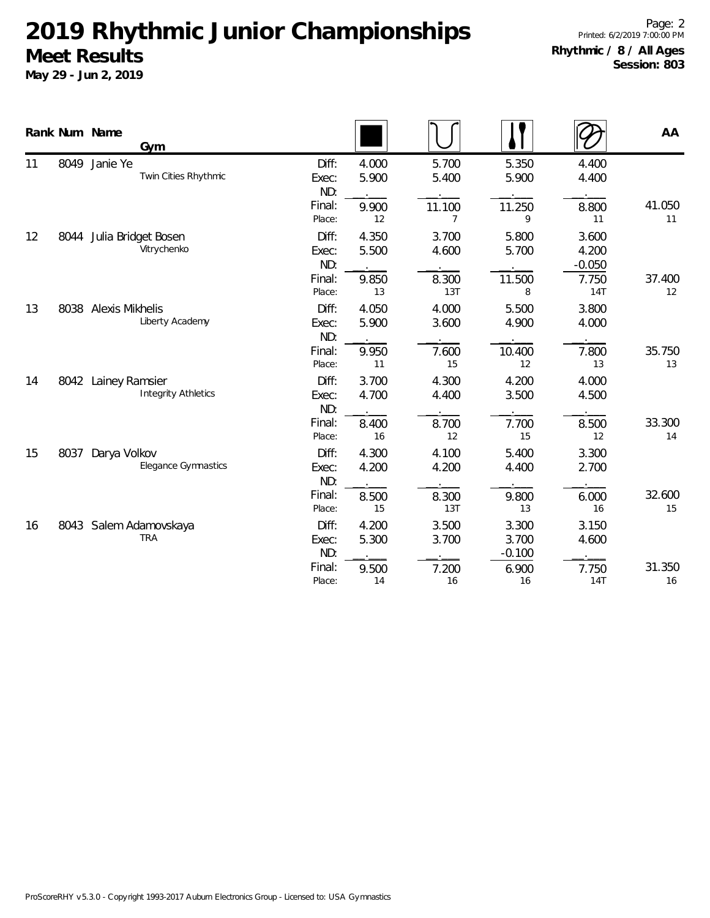|    |      | Rank Num Name<br>Gym                              |                                           |                               |                               |                                  |                               | AA           |
|----|------|---------------------------------------------------|-------------------------------------------|-------------------------------|-------------------------------|----------------------------------|-------------------------------|--------------|
| 11 | 8049 | Janie Ye<br>Twin Cities Rhythmic                  | Diff:<br>Exec:<br>ND:<br>Final:           | 4.000<br>5.900<br>9.900       | 5.700<br>5.400<br>11.100      | 5.350<br>5.900<br>11.250         | 4.400<br>4.400<br>8.800       | 41.050       |
| 12 |      | 8044 Julia Bridget Bosen<br>Vitrychenko           | Place:<br>Diff:<br>Exec:                  | 12<br>4.350<br>5.500          | 7<br>3.700<br>4.600           | 9<br>5.800<br>5.700              | 11<br>3.600<br>4.200          | 11           |
|    |      |                                                   | ND:<br>Final:<br>Place:                   | 9.850<br>13                   | 8.300<br>13T                  | 11.500<br>8                      | $-0.050$<br>7.750<br>14T      | 37.400<br>12 |
| 13 | 8038 | <b>Alexis Mikhelis</b><br>Liberty Academy         | Diff:<br>Exec:<br>ND:<br>Final:<br>Place: | 4.050<br>5.900<br>9.950<br>11 | 4.000<br>3.600<br>7.600<br>15 | 5.500<br>4.900<br>10.400<br>12   | 3.800<br>4.000<br>7.800<br>13 | 35.750<br>13 |
| 14 |      | 8042 Lainey Ramsier<br><b>Integrity Athletics</b> | Diff:<br>Exec:<br>ND:<br>Final:           | 3.700<br>4.700<br>8.400       | 4.300<br>4.400<br>8.700       | 4.200<br>3.500<br>7.700          | 4.000<br>4.500<br>8.500       | 33.300       |
| 15 | 8037 | Darya Volkov<br><b>Elegance Gymnastics</b>        | Place:<br>Diff:<br>Exec:<br>ND:           | 16<br>4.300<br>4.200          | 12<br>4.100<br>4.200          | 15<br>5.400<br>4.400             | 12<br>3.300<br>2.700          | 14           |
| 16 |      | 8043 Salem Adamovskaya                            | Final:<br>Place:<br>Diff:                 | 8.500<br>15<br>4.200          | 8.300<br>13T<br>3.500         | 9.800<br>13<br>3.300             | 6.000<br>16<br>3.150          | 32.600<br>15 |
|    |      | <b>TRA</b>                                        | Exec:<br>ND:<br>Final:<br>Place:          | 5.300<br>9.500<br>14          | 3.700<br>7.200<br>16          | 3.700<br>$-0.100$<br>6.900<br>16 | 4.600<br>7.750<br><b>14T</b>  | 31.350<br>16 |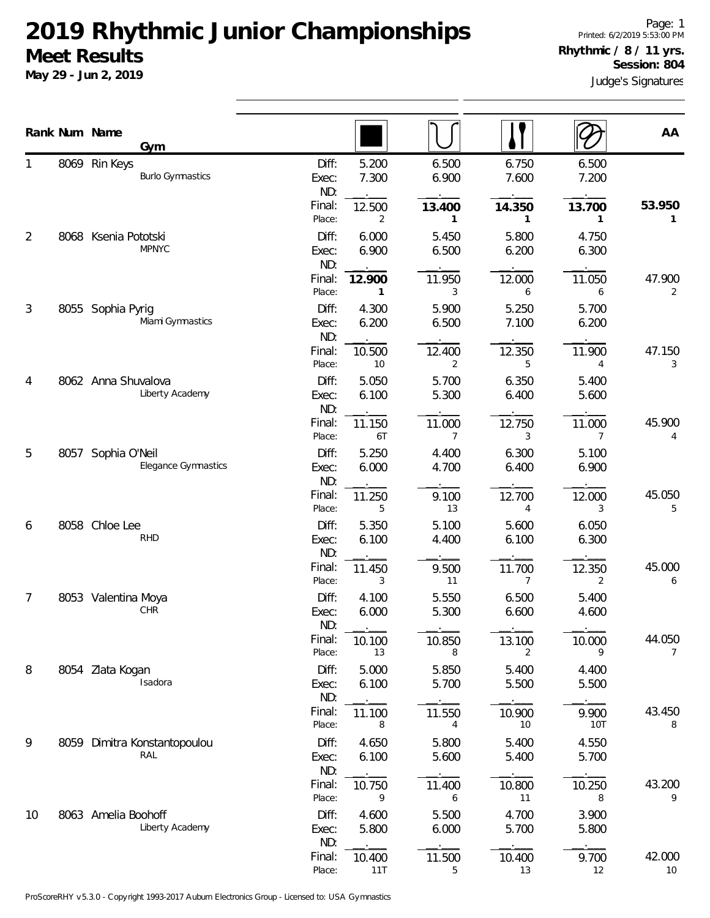**May 29 - Jun 2, 2019**

Page: 1 Printed: 6/2/2019 5:53:00 PM **Rhythmic / 8 / 11 yrs. Session: 804**

Judge's Signatures

|    |      | Rank Num Name<br>Gym                             |                                    |                               |                                          |                               |                                   | AA                       |
|----|------|--------------------------------------------------|------------------------------------|-------------------------------|------------------------------------------|-------------------------------|-----------------------------------|--------------------------|
|    | 8069 | Rin Keys<br><b>Burlo Gymnastics</b>              | Diff:<br>Exec:<br>ND:              | 5.200<br>7.300                | 6.500<br>6.900                           | 6.750<br>7.600                | 6.500<br>7.200                    |                          |
| 2  |      | 8068 Ksenia Pototski<br><b>MPNYC</b>             | Final:<br>Place:<br>Diff:<br>Exec: | 12.500<br>2<br>6.000<br>6.900 | 13.400<br>$\mathbf{1}$<br>5.450<br>6.500 | 14.350<br>1<br>5.800<br>6.200 | 13.700<br>1<br>4.750<br>6.300     | 53.950<br>1              |
|    |      |                                                  | ND:<br>Final:<br>Place:            | 12.900<br>$\mathbf{1}$        | 11.950<br>3                              | 12.000<br>6                   | 11.050<br>6                       | 47.900<br>2              |
| 3  |      | 8055 Sophia Pyrig<br>Miami Gymnastics            | Diff:<br>Exec:<br>ND:              | 4.300<br>6.200                | 5.900<br>6.500                           | 5.250<br>7.100                | 5.700<br>6.200                    |                          |
| 4  |      | 8062 Anna Shuvalova                              | Final:<br>Place:<br>Diff:          | 10.500<br>10<br>5.050         | 12.400<br>2<br>5.700                     | 12.350<br>5<br>6.350          | 11.900<br>4<br>5.400              | 47.150<br>3              |
|    |      | Liberty Academy                                  | Exec:<br>ND:<br>Final:<br>Place:   | 6.100<br>11.150<br>6T         | 5.300<br>11.000<br>$\overline{7}$        | 6.400<br>12.750<br>3          | 5.600<br>11.000<br>$\overline{7}$ | 45.900<br>4              |
| 5  |      | 8057 Sophia O'Neil<br><b>Elegance Gymnastics</b> | Diff:<br>Exec:<br>ND:              | 5.250<br>6.000                | 4.400<br>4.700                           | 6.300<br>6.400                | 5.100<br>6.900                    |                          |
| 6  |      | 8058 Chloe Lee                                   | Final:<br>Place:<br>Diff:          | 11.250<br>5<br>5.350          | 9.100<br>13<br>5.100                     | 12.700<br>4<br>5.600          | 12.000<br>3<br>6.050              | 45.050<br>5              |
|    |      | <b>RHD</b>                                       | Exec:<br>ND:<br>Final:             | 6.100<br>11.450               | 4.400<br>9.500                           | 6.100<br>11.700               | 6.300<br>12.350                   | 45.000                   |
| 7  |      | 8053 Valentina Moya<br>CHR                       | Place:<br>Diff:<br>Exec:<br>ND:    | 3<br>4.100<br>6.000           | 11<br>5.550<br>5.300                     | 7<br>6.500<br>6.600           | 2<br>5.400<br>4.600               | 6                        |
| 8  |      |                                                  | Final:<br>Place:<br>Diff:          | 10.100<br>13<br>5.000         | 10.850<br>8<br>5.850                     | 13.100<br>2<br>5.400          | 10.000<br>9                       | 44.050<br>$\overline{7}$ |
|    |      | 8054 Zlata Kogan<br>Isadora                      | Exec:<br>ND:<br>Final:             | 6.100<br>11.100               | 5.700<br>11.550                          | 5.500<br>10.900               | 4.400<br>5.500<br>9.900           | 43.450                   |
| 9  | 8059 | Dimitra Konstantopoulou<br>RAL                   | Place:<br>Diff:<br>Exec:           | 8<br>4.650<br>6.100           | 4<br>5.800<br>5.600                      | 10<br>5.400<br>5.400          | 10T<br>4.550<br>5.700             | 8                        |
|    |      |                                                  | ND:<br>Final:<br>Place:            | 10.750<br>9                   | 11.400<br>6                              | 10.800<br>11                  | 10.250<br>8                       | 43.200<br>9              |
| 10 |      | 8063 Amelia Boohoff<br>Liberty Academy           | Diff:<br>Exec:<br>ND:              | 4.600<br>5.800                | 5.500<br>6.000                           | 4.700<br>5.700                | 3.900<br>5.800                    |                          |
|    |      |                                                  | Final:<br>Place:                   | 10.400<br>11T                 | 11.500<br>5                              | 10.400<br>13                  | 9.700<br>12                       | 42.000<br>10             |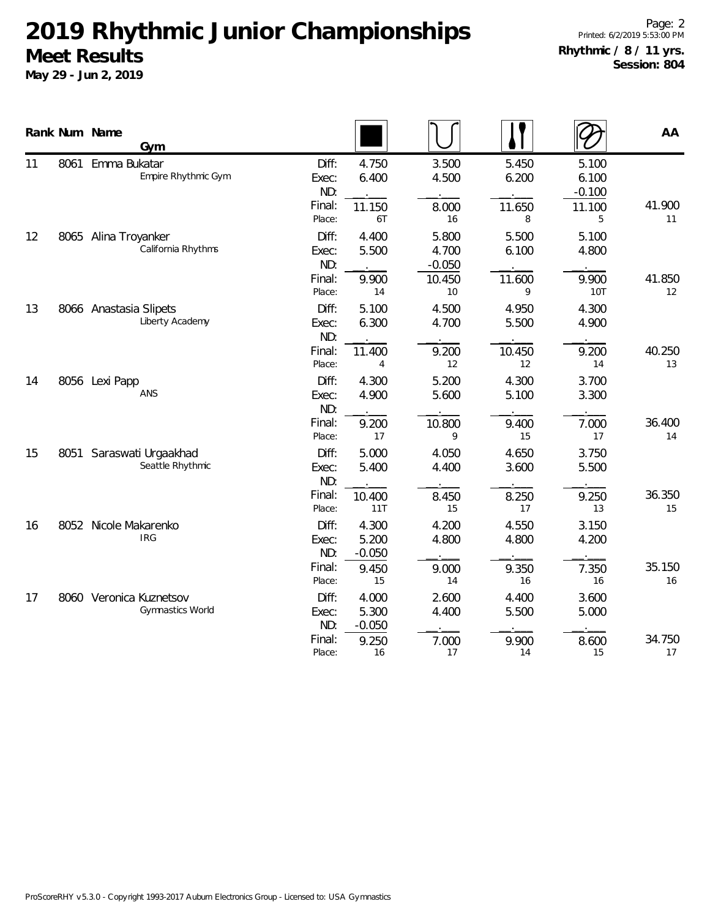|    |      | Rank Num Name<br>Gym                               |                                                                                         |                                      |                               |                                           | AA           |
|----|------|----------------------------------------------------|-----------------------------------------------------------------------------------------|--------------------------------------|-------------------------------|-------------------------------------------|--------------|
| 11 | 8061 | Emma Bukatar<br>Empire Rhythmic Gym                | Diff:<br>4.750<br>6.400<br>Exec:<br>ND:<br>Final:<br>11.150<br>Place:<br>6T             | 3.500<br>4.500<br>8.000<br>16        | 5.450<br>6.200<br>11.650<br>8 | 5.100<br>6.100<br>$-0.100$<br>11.100<br>5 | 41.900<br>11 |
| 12 |      | 8065 Alina Troyanker<br>California Rhythms         | Diff:<br>4.400<br>5.500<br>Exec:<br>ND:<br>Final:<br>9.900                              | 5.800<br>4.700<br>$-0.050$<br>10.450 | 5.500<br>6.100<br>11.600      | 5.100<br>4.800<br>9.900                   | 41.850       |
| 13 |      | 8066 Anastasia Slipets<br>Liberty Academy          | Place:<br>14<br>Diff:<br>5.100<br>6.300<br>Exec:<br>ND:<br>Final:<br>11.400             | 10<br>4.500<br>4.700<br>9.200        | 9<br>4.950<br>5.500<br>10.450 | <b>10T</b><br>4.300<br>4.900<br>9.200     | 12<br>40.250 |
| 14 |      | 8056 Lexi Papp<br>ANS                              | Place:<br>4<br>Diff:<br>4.300<br>4.900<br>Exec:<br>ND:<br>Final:<br>9.200               | 12<br>5.200<br>5.600<br>10.800       | 12<br>4.300<br>5.100<br>9.400 | 14<br>3.700<br>3.300<br>7.000             | 13<br>36.400 |
| 15 | 8051 | Saraswati Urgaakhad<br>Seattle Rhythmic            | 17<br>Place:<br>Diff:<br>5.000<br>5.400<br>Exec:<br>ND:<br>Final:<br>10.400             | 9<br>4.050<br>4.400<br>8.450         | 15<br>4.650<br>3.600<br>8.250 | 17<br>3.750<br>5.500<br>9.250             | 14<br>36.350 |
| 16 |      | 8052 Nicole Makarenko<br>IRG                       | Place:<br>11T<br>Diff:<br>4.300<br>5.200<br>Exec:<br>ND:<br>$-0.050$<br>Final:<br>9.450 | 15<br>4.200<br>4.800<br>9.000        | 17<br>4.550<br>4.800<br>9.350 | 13<br>3.150<br>4.200<br>7.350             | 15<br>35.150 |
| 17 |      | 8060 Veronica Kuznetsov<br><b>Gymnastics World</b> | Place:<br>15<br>Diff:<br>4.000<br>5.300<br>Exec:<br>ND:<br>$-0.050$<br>Final:<br>9.250  | 14<br>2.600<br>4.400<br>7.000        | 16<br>4.400<br>5.500<br>9.900 | 16<br>3.600<br>5.000<br>8.600             | 16<br>34.750 |
|    |      |                                                    | Place:<br>16                                                                            | 17                                   | 14                            | 15                                        | 17           |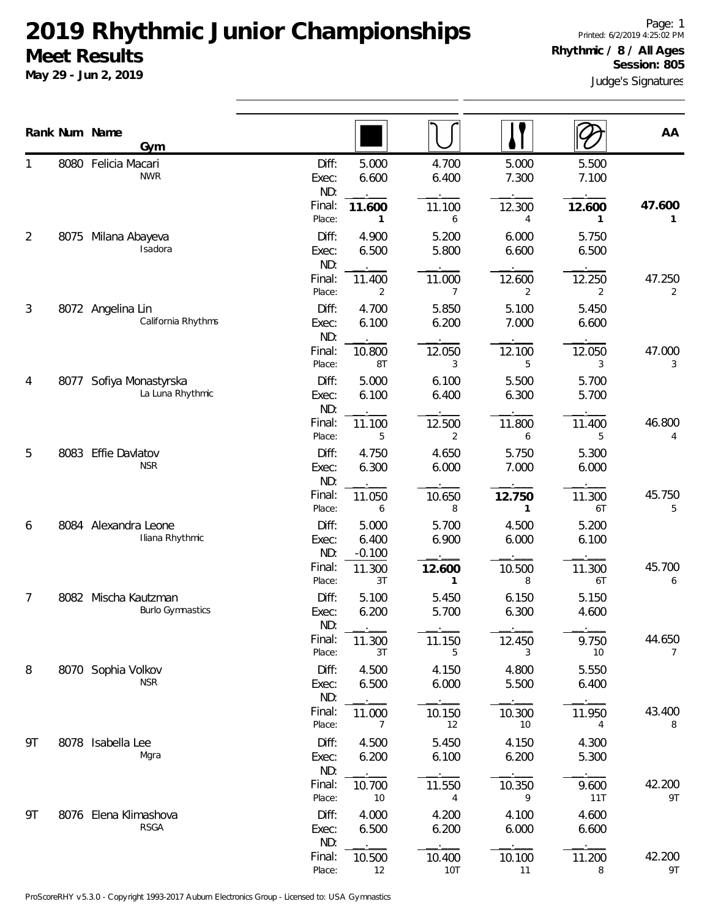**May 29 - Jun 2, 2019**

|    |      | Rank Num Name<br>Gym                            |                         |                            |                |                |                | AA                       |
|----|------|-------------------------------------------------|-------------------------|----------------------------|----------------|----------------|----------------|--------------------------|
|    |      | 8080 Felicia Macari<br><b>NWR</b>               | Diff:<br>Exec:<br>ND:   | 5.000<br>6.600             | 4.700<br>6.400 | 5.000<br>7.300 | 5.500<br>7.100 |                          |
|    |      |                                                 | Final:<br>Place:        | 11.600<br>1                | 11.100<br>6    | 12.300<br>4    | 12.600<br>1    | 47.600<br>1              |
| 2  | 8075 | Milana Abayeva<br>Isadora                       | Diff:<br>Exec:          | 4.900<br>6.500             | 5.200<br>5.800 | 6.000<br>6.600 | 5.750<br>6.500 |                          |
|    |      |                                                 | ND:<br>Final:<br>Place: | 11.400<br>2                | 11.000<br>7    | 12.600<br>2    | 12.250<br>2    | 47.250<br>2              |
| 3  |      | 8072 Angelina Lin<br>California Rhythms         | Diff:<br>Exec:<br>ND:   | 4.700<br>6.100             | 5.850<br>6.200 | 5.100<br>7.000 | 5.450<br>6.600 |                          |
|    |      |                                                 | Final:<br>Place:        | 10.800<br>8T               | 12.050<br>3    | 12.100<br>5    | 12.050<br>3    | 47.000<br>3              |
| 4  | 8077 | Sofiya Monastyrska<br>La Luna Rhythmic          | Diff:<br>Exec:<br>ND:   | 5.000<br>6.100             | 6.100<br>6.400 | 5.500<br>6.300 | 5.700<br>5.700 |                          |
|    |      |                                                 | Final:<br>Place:        | 11.100<br>5                | 12.500<br>2    | 11.800<br>6    | 11.400<br>5    | 46.800<br>4              |
| 5  |      | 8083 Effie Davlatov<br><b>NSR</b>               | Diff:<br>Exec:<br>ND:   | 4.750<br>6.300             | 4.650<br>6.000 | 5.750<br>7.000 | 5.300<br>6.000 |                          |
|    |      |                                                 | Final:<br>Place:        | 11.050<br>6                | 10.650<br>8    | 12.750<br>1    | 11.300<br>6T   | 45.750<br>5              |
| 6  |      | 8084 Alexandra Leone<br>Iliana Rhythmic         | Diff:<br>Exec:<br>ND:   | 5.000<br>6.400<br>$-0.100$ | 5.700<br>6.900 | 4.500<br>6.000 | 5.200<br>6.100 |                          |
|    |      |                                                 | Final:<br>Place:        | 11.300<br>3T               | 12.600<br>1    | 10.500<br>8    | 11.300<br>6T   | 45.700<br>6              |
| 7  |      | 8082 Mischa Kautzman<br><b>Burlo Gymnastics</b> | Diff:<br>Exec:<br>ND:   | 5.100<br>6.200             | 5.450<br>5.700 | 6.150<br>6.300 | 5.150<br>4.600 |                          |
|    |      |                                                 | Final:<br>Place:        | 11.300<br>3T               | 11.150<br>5    | 12.450<br>3    | 9.750<br>10    | 44.650<br>$\overline{7}$ |
| 8  |      | 8070 Sophia Volkov<br><b>NSR</b>                | Diff:<br>Exec:<br>ND:   | 4.500<br>6.500             | 4.150<br>6.000 | 4.800<br>5.500 | 5.550<br>6.400 |                          |
|    |      |                                                 | Final:<br>Place:        | 11.000<br>7                | 10.150<br>12   | 10.300<br>10   | 11.950<br>4    | 43.400<br>8              |
| 9T |      | 8078 Isabella Lee<br>Mgra                       | Diff:<br>Exec:<br>ND:   | 4.500<br>6.200             | 5.450<br>6.100 | 4.150<br>6.200 | 4.300<br>5.300 |                          |
|    |      |                                                 | Final:<br>Place:        | 10.700<br>$10$             | 11.550<br>4    | 10.350<br>9    | 9.600<br>11T   | 42.200<br>9T             |
| 9T |      | 8076 Elena Klimashova<br><b>RSGA</b>            | Diff:<br>Exec:<br>ND:   | 4.000<br>6.500             | 4.200<br>6.200 | 4.100<br>6.000 | 4.600<br>6.600 |                          |
|    |      |                                                 | Final:<br>Place:        | 10.500<br>12               | 10.400<br>10T  | 10.100<br>11   | 11.200<br>8    | 42.200<br>9T             |

ProScoreRHY v5.3.0 - Copyright 1993-2017 Auburn Electronics Group - Licensed to: USA Gymnastics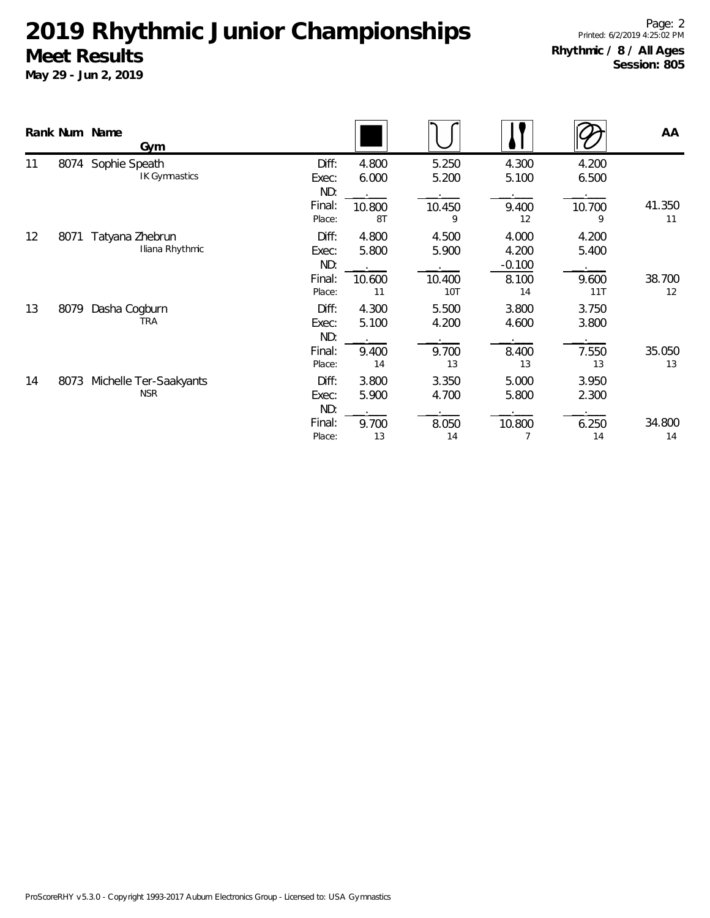|    |      | Rank Num Name<br>Gym                 |                       |                |                |                            |                | AA           |
|----|------|--------------------------------------|-----------------------|----------------|----------------|----------------------------|----------------|--------------|
| 11 | 8074 | Sophie Speath<br>IK Gymnastics       | Diff:<br>Exec:<br>ND: | 4.800<br>6.000 | 5.250<br>5.200 | 4.300<br>5.100             | 4.200<br>6.500 |              |
|    |      |                                      | Final:<br>Place:      | 10.800<br>8T   | 10.450<br>9    | 9.400<br>12                | 10.700<br>9    | 41.350<br>11 |
| 12 | 8071 | Tatyana Zhebrun<br>Iliana Rhythmic   | Diff:<br>Exec:<br>ND: | 4.800<br>5.800 | 4.500<br>5.900 | 4.000<br>4.200<br>$-0.100$ | 4.200<br>5.400 |              |
|    |      |                                      | Final:<br>Place:      | 10.600<br>11   | 10.400<br>10T  | 8.100<br>14                | 9.600<br>11T   | 38.700<br>12 |
| 13 | 8079 | Dasha Cogburn<br><b>TRA</b>          | Diff:<br>Exec:<br>ND: | 4.300<br>5.100 | 5.500<br>4.200 | 3.800<br>4.600             | 3.750<br>3.800 |              |
|    |      |                                      | Final:<br>Place:      | 9.400<br>14    | 9.700<br>13    | 8.400<br>13                | 7.550<br>13    | 35.050<br>13 |
| 14 | 8073 | Michelle Ter-Saakyants<br><b>NSR</b> | Diff:<br>Exec:<br>ND: | 3.800<br>5.900 | 3.350<br>4.700 | 5.000<br>5.800             | 3.950<br>2.300 |              |
|    |      |                                      | Final:<br>Place:      | 9.700<br>13    | 8.050<br>14    | 10.800                     | 6.250<br>14    | 34.800<br>14 |